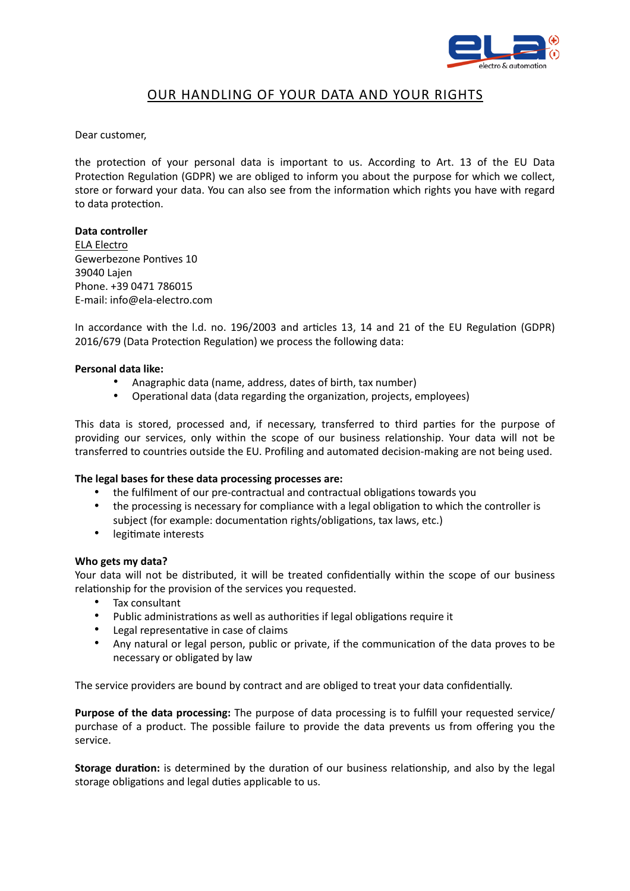

# OUR HANDLING OF YOUR DATA AND YOUR RIGHTS

Dear customer,

the protection of your personal data is important to us. According to Art. 13 of the EU Data Protection Regulation (GDPR) we are obliged to inform you about the purpose for which we collect, store or forward your data. You can also see from the information which rights you have with regard to data protection.

### **Data controller**

ELA Electro Gewerbezone Pontives 10 39040 Lajen Phone. +39 0471 786015 E-mail: info@ela-electro.com

In accordance with the l.d. no. 196/2003 and articles 13, 14 and 21 of the EU Regulation (GDPR) 2016/679 (Data Protection Regulation) we process the following data:

#### **Personal data like:**

- Anagraphic data (name, address, dates of birth, tax number)
- Operational data (data regarding the organization, projects, employees)

This data is stored, processed and, if necessary, transferred to third parties for the purpose of providing our services, only within the scope of our business relationship. Your data will not be transferred to countries outside the EU. Profiling and automated decision-making are not being used.

#### **The legal bases for these data processing processes are:**

- the fulfilment of our pre-contractual and contractual obligations towards you
- the processing is necessary for compliance with a legal obligation to which the controller is subject (for example: documentation rights/obligations, tax laws, etc.)
- legitimate interests

#### **Who gets my data?**

Your data will not be distributed, it will be treated confidentially within the scope of our business relationship for the provision of the services you requested.

- Tax consultant
- Public administrations as well as authorities if legal obligations require it
- Legal representative in case of claims
- Any natural or legal person, public or private, if the communication of the data proves to be necessary or obligated by law

The service providers are bound by contract and are obliged to treat your data confidentially.

**Purpose of the data processing:** The purpose of data processing is to fulfill your requested service/ purchase of a product. The possible failure to provide the data prevents us from offering you the service.

**Storage duration:** is determined by the duration of our business relationship, and also by the legal storage obligations and legal duties applicable to us.